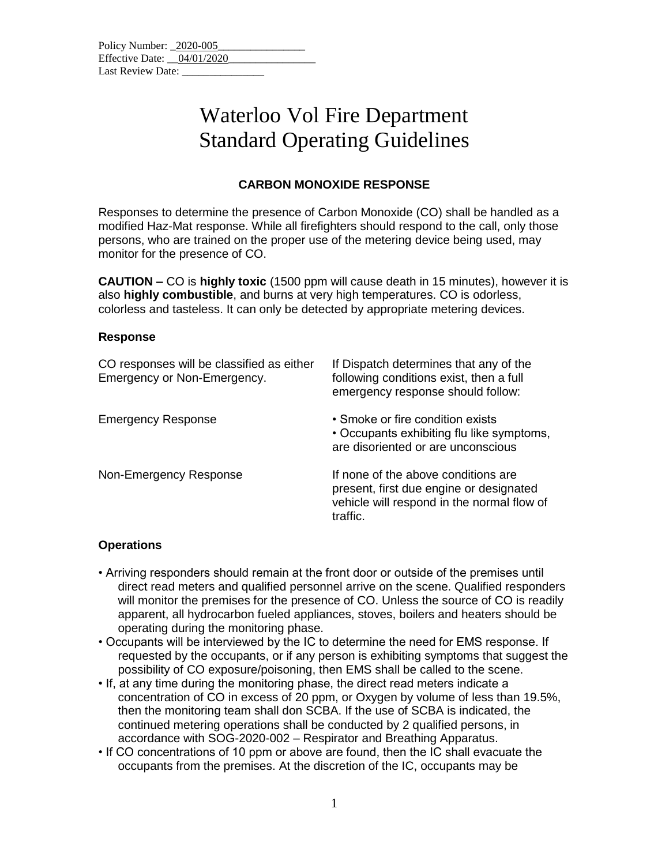| Policy Number: 2020-005      |  |  |  |
|------------------------------|--|--|--|
| Effective Date: $04/01/2020$ |  |  |  |
| Last Review Date:            |  |  |  |

## Waterloo Vol Fire Department Standard Operating Guidelines

### **CARBON MONOXIDE RESPONSE**

Responses to determine the presence of Carbon Monoxide (CO) shall be handled as a modified Haz-Mat response. While all firefighters should respond to the call, only those persons, who are trained on the proper use of the metering device being used, may monitor for the presence of CO.

**CAUTION –** CO is **highly toxic** (1500 ppm will cause death in 15 minutes), however it is also **highly combustible**, and burns at very high temperatures. CO is odorless, colorless and tasteless. It can only be detected by appropriate metering devices.

#### **Response**

| CO responses will be classified as either<br>Emergency or Non-Emergency. | If Dispatch determines that any of the<br>following conditions exist, then a full<br>emergency response should follow:                   |
|--------------------------------------------------------------------------|------------------------------------------------------------------------------------------------------------------------------------------|
| <b>Emergency Response</b>                                                | • Smoke or fire condition exists<br>• Occupants exhibiting flu like symptoms,<br>are disoriented or are unconscious                      |
| Non-Emergency Response                                                   | If none of the above conditions are<br>present, first due engine or designated<br>vehicle will respond in the normal flow of<br>traffic. |

#### **Operations**

- Arriving responders should remain at the front door or outside of the premises until direct read meters and qualified personnel arrive on the scene. Qualified responders will monitor the premises for the presence of CO. Unless the source of CO is readily apparent, all hydrocarbon fueled appliances, stoves, boilers and heaters should be operating during the monitoring phase.
- Occupants will be interviewed by the IC to determine the need for EMS response. If requested by the occupants, or if any person is exhibiting symptoms that suggest the possibility of CO exposure/poisoning, then EMS shall be called to the scene.
- If, at any time during the monitoring phase, the direct read meters indicate a concentration of CO in excess of 20 ppm, or Oxygen by volume of less than 19.5%, then the monitoring team shall don SCBA. If the use of SCBA is indicated, the continued metering operations shall be conducted by 2 qualified persons, in accordance with SOG-2020-002 – Respirator and Breathing Apparatus.
- If CO concentrations of 10 ppm or above are found, then the IC shall evacuate the occupants from the premises. At the discretion of the IC, occupants may be